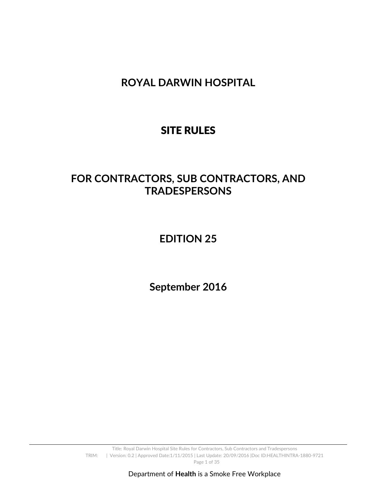**ROYAL DARWIN HOSPITAL** 

# SITE RULES

# **FOR CONTRACTORS, SUB CONTRACTORS, AND TRADESPERSONS**

# **EDITION 25**

**September 2016**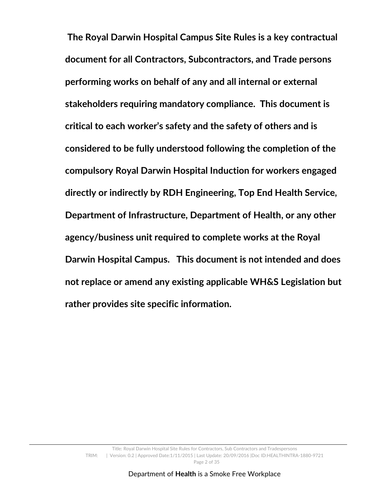**The Royal Darwin Hospital Campus Site Rules is a key contractual document for all Contractors, Subcontractors, and Trade persons performing works on behalf of any and all internal or external stakeholders requiring mandatory compliance. This document is critical to each worker's safety and the safety of others and is considered to be fully understood following the completion of the compulsory Royal Darwin Hospital Induction for workers engaged directly or indirectly by RDH Engineering, Top End Health Service, Department of Infrastructure, Department of Health, or any other agency/business unit required to complete works at the Royal Darwin Hospital Campus. This document is not intended and does not replace or amend any existing applicable WH&S Legislation but rather provides site specific information.**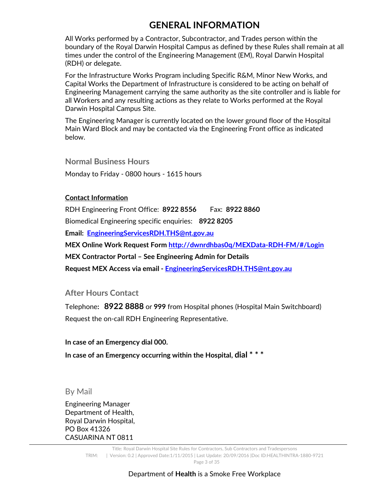## **GENERAL INFORMATION**

All Works performed by a Contractor, Subcontractor, and Trades person within the boundary of the Royal Darwin Hospital Campus as defined by these Rules shall remain at all times under the control of the Engineering Management (EM), Royal Darwin Hospital (RDH) or delegate.

For the Infrastructure Works Program including Specific R&M, Minor New Works, and Capital Works the Department of Infrastructure is considered to be acting on behalf of Engineering Management carrying the same authority as the site controller and is liable for all Workers and any resulting actions as they relate to Works performed at the Royal Darwin Hospital Campus Site.

The Engineering Manager is currently located on the lower ground floor of the Hospital Main Ward Block and may be contacted via the Engineering Front office as indicated below.

**Normal Business Hours**  Monday to Friday - 0800 hours - 1615 hours

#### **Contact Information**

RDH Engineering Front Office: **8922 8556** Fax: **8922 8860** Biomedical Engineering specific enquiries: **8922 8205 Email: EngineeringServicesRDH.THS@nt.gov.au MEX Online Work Request Form http://dwnrdhbas0q/MEXData-RDH-FM/#/Login MEX Contractor Portal – See Engineering Admin for Details Request MEX Access via email - EngineeringServicesRDH.THS@nt.gov.au**

## **After Hours Contact**

Telephone**: 8922 8888** or **999** from Hospital phones (Hospital Main Switchboard) Request the on-call RDH Engineering Representative.

#### **In case of an Emergency dial 000.**

**In case of an Emergency occurring within the Hospital, dial \* \* \***

#### By Mail

Engineering Manager Department of Health, Royal Darwin Hospital, PO Box 41326 CASUARINA NT 0811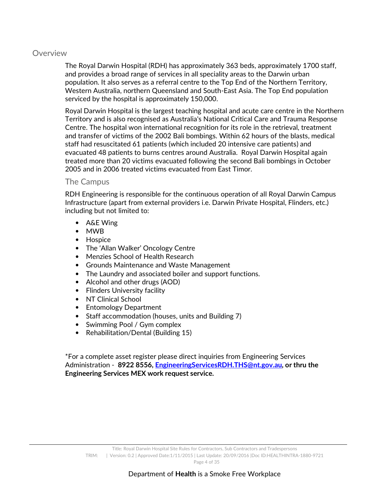#### **Overview**

The Royal Darwin Hospital (RDH) has approximately 363 beds, approximately 1700 staff, and provides a broad range of services in all speciality areas to the Darwin urban population. It also serves as a referral centre to the Top End of the Northern Territory, Western Australia, northern Queensland and South-East Asia. The Top End population serviced by the hospital is approximately 150,000.

Royal Darwin Hospital is the largest teaching hospital and acute care centre in the Northern Territory and is also recognised as Australia's National Critical Care and Trauma Response Centre. The hospital won international recognition for its role in the retrieval, treatment and transfer of victims of the 2002 Bali bombings. Within 62 hours of the blasts, medical staff had resuscitated 61 patients (which included 20 intensive care patients) and evacuated 48 patients to burns centres around Australia. Royal Darwin Hospital again treated more than 20 victims evacuated following the second Bali bombings in October 2005 and in 2006 treated victims evacuated from East Timor.

#### The Campus

RDH Engineering is responsible for the continuous operation of all Royal Darwin Campus Infrastructure (apart from external providers i.e. Darwin Private Hospital, Flinders, etc.) including but not limited to:

- A&E Wing
- MWB
- Hospice
- The 'Allan Walker' Oncology Centre
- Menzies School of Health Research
- Grounds Maintenance and Waste Management
- The Laundry and associated boiler and support functions.
- Alcohol and other drugs (AOD)
- Flinders University facility
- NT Clinical School
- Entomology Department
- Staff accommodation (houses, units and Building 7)
- Swimming Pool / Gym complex
- Rehabilitation/Dental (Building 15)

\*For a complete asset register please direct inquiries from Engineering Services Administration - **8922 8556, EngineeringServicesRDH.THS@nt.gov.au, or thru the Engineering Services MEX work request service.**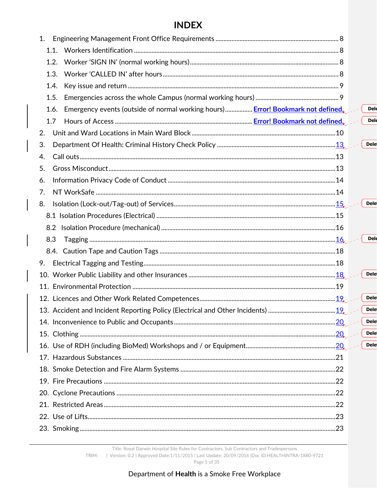## **INDEX**

| 1.                                                                                      |  |             |
|-----------------------------------------------------------------------------------------|--|-------------|
| 1.1.                                                                                    |  |             |
| 1.2.                                                                                    |  |             |
| 1.3.                                                                                    |  |             |
| 1.4.                                                                                    |  |             |
| 1.5.                                                                                    |  |             |
| Emergency events (outside of normal working hours) Error! Bookmark not defined.<br>1.6. |  | <b>Del</b>  |
| 1.7                                                                                     |  | <b>Del</b>  |
| 2.                                                                                      |  |             |
| 3.                                                                                      |  | <b>Dele</b> |
| 4.                                                                                      |  |             |
| 5.                                                                                      |  |             |
| 6.                                                                                      |  |             |
| 7.                                                                                      |  |             |
| 8.                                                                                      |  | <b>Dele</b> |
|                                                                                         |  |             |
|                                                                                         |  |             |
| 8.3                                                                                     |  | <b>Del</b>  |
|                                                                                         |  |             |
| 9.                                                                                      |  |             |
|                                                                                         |  | <b>Dele</b> |
|                                                                                         |  |             |
|                                                                                         |  | <b>Dele</b> |
|                                                                                         |  | <b>Dele</b> |
|                                                                                         |  | <b>Dele</b> |
|                                                                                         |  | <b>Dele</b> |
|                                                                                         |  | <b>Dele</b> |
|                                                                                         |  |             |
|                                                                                         |  |             |
|                                                                                         |  |             |
|                                                                                         |  |             |
|                                                                                         |  |             |
|                                                                                         |  |             |
|                                                                                         |  |             |
|                                                                                         |  |             |

Title: Royal Darwin Hospital Site Rules for Contractors, Sub Contractors and Tradespersons

TRIM: | Version: 0.2 | Approved Date:1/11/2015 | Last Update: 20/09/2016 | Doc ID: HEALTHINTRA-1880-9721

Page 5 of 35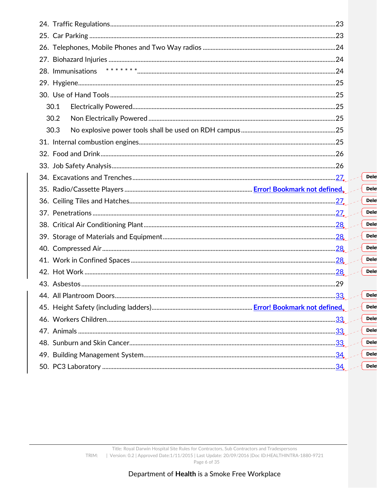| 28. Immunisations |     |  |                  |  |  |  |  |
|-------------------|-----|--|------------------|--|--|--|--|
|                   |     |  |                  |  |  |  |  |
|                   |     |  |                  |  |  |  |  |
| 30.1              |     |  |                  |  |  |  |  |
| 30.2              |     |  |                  |  |  |  |  |
| 30.3              |     |  |                  |  |  |  |  |
|                   |     |  |                  |  |  |  |  |
|                   |     |  |                  |  |  |  |  |
|                   |     |  |                  |  |  |  |  |
|                   |     |  | <b>Del</b>       |  |  |  |  |
|                   |     |  | <b>Del</b>       |  |  |  |  |
|                   |     |  |                  |  |  |  |  |
|                   |     |  | <b>Del</b>       |  |  |  |  |
|                   |     |  | <b>Del</b>       |  |  |  |  |
|                   |     |  | <b>Del</b>       |  |  |  |  |
|                   |     |  | <b>Del</b>       |  |  |  |  |
|                   |     |  | <b>Del</b>       |  |  |  |  |
|                   |     |  | Del              |  |  |  |  |
|                   |     |  | <b>Del</b>       |  |  |  |  |
|                   |     |  |                  |  |  |  |  |
|                   |     |  | $\parallel$ Dele |  |  |  |  |
|                   |     |  | <b>Del</b>       |  |  |  |  |
|                   |     |  | <b>Del</b>       |  |  |  |  |
|                   |     |  | <b>Del</b>       |  |  |  |  |
|                   | .33 |  | <b>Del</b>       |  |  |  |  |
|                   |     |  | <b>Del</b>       |  |  |  |  |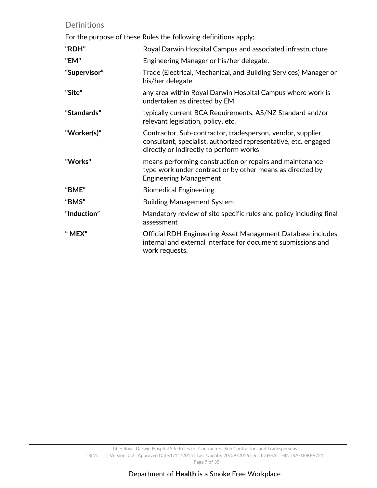## Definitions

For the purpose of these Rules the following definitions apply;

| "RDH"        | Royal Darwin Hospital Campus and associated infrastructure                                                                                                                |
|--------------|---------------------------------------------------------------------------------------------------------------------------------------------------------------------------|
| "EM"         | Engineering Manager or his/her delegate.                                                                                                                                  |
| "Supervisor" | Trade (Electrical, Mechanical, and Building Services) Manager or<br>his/her delegate                                                                                      |
| "Site"       | any area within Royal Darwin Hospital Campus where work is<br>undertaken as directed by EM                                                                                |
| "Standards"  | typically current BCA Requirements, AS/NZ Standard and/or<br>relevant legislation, policy, etc.                                                                           |
| "Worker(s)"  | Contractor, Sub-contractor, tradesperson, vendor, supplier,<br>consultant, specialist, authorized representative, etc. engaged<br>directly or indirectly to perform works |
| "Works"      | means performing construction or repairs and maintenance<br>type work under contract or by other means as directed by<br><b>Engineering Management</b>                    |
| "BME"        | <b>Biomedical Engineering</b>                                                                                                                                             |
| "BMS"        | <b>Building Management System</b>                                                                                                                                         |
| "Induction"  | Mandatory review of site specific rules and policy including final<br>assessment                                                                                          |
| "MEX"        | Official RDH Engineering Asset Management Database includes<br>internal and external interface for document submissions and<br>work requests.                             |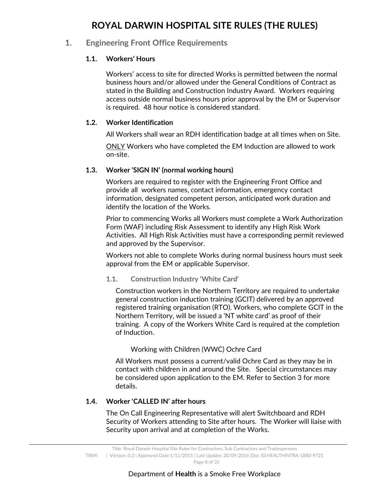## **ROYAL DARWIN HOSPITAL SITE RULES (THE RULES)**

## **1. Engineering Front Office Requirements**

## **1.1. Workers' Hours**

Workers' access to site for directed Works is permitted between the normal business hours and/or allowed under the General Conditions of Contract as stated in the Building and Construction Industry Award. Workers requiring access outside normal business hours prior approval by the EM or Supervisor is required. 48 hour notice is considered standard.

#### **1.2. Worker Identification**

All Workers shall wear an RDH identification badge at all times when on Site.

ONLY Workers who have completed the EM Induction are allowed to work on-site.

#### **1.3. Worker 'SIGN IN' (normal working hours)**

Workers are required to register with the Engineering Front Office and provide all workers names, contact information, emergency contact information, designated competent person, anticipated work duration and identify the location of the Works.

Prior to commencing Works all Workers must complete a Work Authorization Form (WAF) including Risk Assessment to identify any High Risk Work Activities. All High Risk Activities must have a corresponding permit reviewed and approved by the Supervisor.

Workers not able to complete Works during normal business hours must seek approval from the EM or applicable Supervisor.

#### **1.1. Construction Industry 'White Card'**

Construction workers in the Northern Territory are required to undertake general construction induction training (GCIT) delivered by an approved registered training organisation (RTO). Workers, who complete GCIT in the Northern Territory, will be issued a 'NT white card' as proof of their training. A copy of the Workers White Card is required at the completion of Induction.

#### Working with Children (WWC) Ochre Card

All Workers must possess a current/valid Ochre Card as they may be in contact with children in and around the Site. Special circumstances may be considered upon application to the EM. Refer to Section 3 for more details.

#### **1.4. Worker 'CALLED IN' after hours**

The On Call Engineering Representative will alert Switchboard and RDH Security of Workers attending to Site after hours. The Worker will liaise with Security upon arrival and at completion of the Works.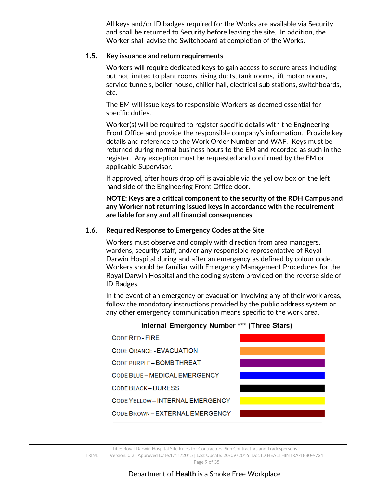All keys and/or ID badges required for the Works are available via Security and shall be returned to Security before leaving the site. In addition, the Worker shall advise the Switchboard at completion of the Works.

#### **1.5. Key issuance and return requirements**

Workers will require dedicated keys to gain access to secure areas including but not limited to plant rooms, rising ducts, tank rooms, lift motor rooms, service tunnels, boiler house, chiller hall, electrical sub stations, switchboards, etc.

The EM will issue keys to responsible Workers as deemed essential for specific duties.

Worker(s) will be required to register specific details with the Engineering Front Office and provide the responsible company's information. Provide key details and reference to the Work Order Number and WAF. Keys must be returned during normal business hours to the EM and recorded as such in the register. Any exception must be requested and confirmed by the EM or applicable Supervisor.

If approved, after hours drop off is available via the yellow box on the left hand side of the Engineering Front Office door.

**NOTE: Keys are a critical component to the security of the RDH Campus and any Worker not returning issued keys in accordance with the requirement are liable for any and all financial consequences.** 

#### **1.6. Required Response to Emergency Codes at the Site**

Workers must observe and comply with direction from area managers, wardens, security staff, and/or any responsible representative of Royal Darwin Hospital during and after an emergency as defined by colour code. Workers should be familiar with Emergency Management Procedures for the Royal Darwin Hospital and the coding system provided on the reverse side of ID Badges.

In the event of an emergency or evacuation involving any of their work areas, follow the mandatory instructions provided by the public address system or any other emergency communication means specific to the work area.



## Internal Emergency Number \*\*\* (Three Stars)

Title: Royal Darwin Hospital Site Rules for Contractors, Sub Contractors and Tradespersons TRIM: | Version: 0.2 | Approved Date:1/11/2015 | Last Update: 20/09/2016 |Doc ID:HEALTHINTRA-1880-9721 Page 9 of 35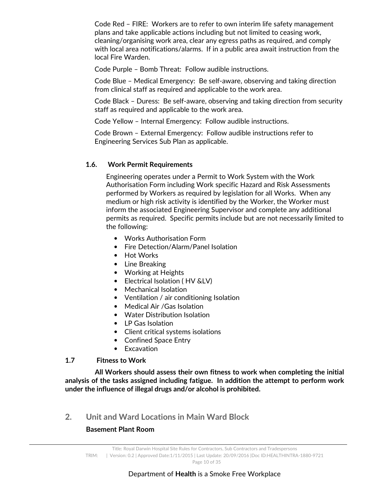Code Red – FIRE: Workers are to refer to own interim life safety management plans and take applicable actions including but not limited to ceasing work, cleaning/organising work area, clear any egress paths as required, and comply with local area notifications/alarms. If in a public area await instruction from the local Fire Warden.

Code Purple – Bomb Threat: Follow audible instructions.

Code Blue – Medical Emergency: Be self-aware, observing and taking direction from clinical staff as required and applicable to the work area.

Code Black – Duress: Be self-aware, observing and taking direction from security staff as required and applicable to the work area.

Code Yellow – Internal Emergency: Follow audible instructions.

Code Brown – External Emergency: Follow audible instructions refer to Engineering Services Sub Plan as applicable.

## **1.6. Work Permit Requirements**

Engineering operates under a Permit to Work System with the Work Authorisation Form including Work specific Hazard and Risk Assessments performed by Workers as required by legislation for all Works. When any medium or high risk activity is identified by the Worker, the Worker must inform the associated Engineering Supervisor and complete any additional permits as required. Specific permits include but are not necessarily limited to the following:

- Works Authorisation Form
- Fire Detection/Alarm/Panel Isolation
- Hot Works
- Line Breaking
- Working at Heights
- Electrical Isolation ( HV &LV)
- Mechanical Isolation
- Ventilation / air conditioning Isolation
- Medical Air /Gas Isolation
- Water Distribution Isolation
- LP Gas Isolation
- Client critical systems isolations
- Confined Space Entry
- Excavation

#### **1.7 Fitness to Work**

 **All Workers should assess their own fitness to work when completing the initial analysis of the tasks assigned including fatigue. In addition the attempt to perform work under the influence of illegal drugs and/or alcohol is prohibited.** 

**2. Unit and Ward Locations in Main Ward Block** 

## **Basement Plant Room**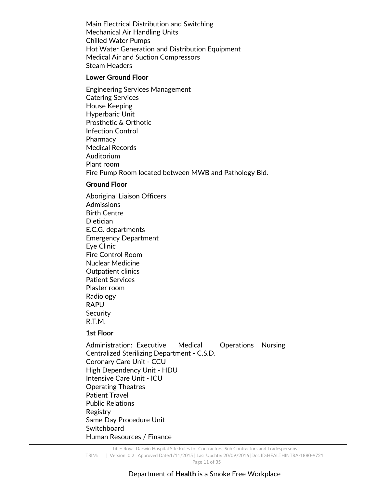Main Electrical Distribution and Switching Mechanical Air Handling Units Chilled Water Pumps Hot Water Generation and Distribution Equipment Medical Air and Suction Compressors Steam Headers

#### **Lower Ground Floor**

Engineering Services Management Catering Services House Keeping Hyperbaric Unit Prosthetic & Orthotic Infection Control **Pharmacy** Medical Records Auditorium Plant room Fire Pump Room located between MWB and Pathology Bld.

#### **Ground Floor**

Aboriginal Liaison Officers **Admissions** Birth Centre **Dietician** E.C.G. departments Emergency Department Eye Clinic Fire Control Room Nuclear Medicine Outpatient clinics Patient Services Plaster room Radiology RAPU **Security** R.T.M.

#### **1st Floor**

Administration: Executive Medical Operations Nursing Centralized Sterilizing Department - C.S.D. Coronary Care Unit - CCU High Dependency Unit - HDU Intensive Care Unit - ICU Operating Theatres Patient Travel Public Relations Registry Same Day Procedure Unit **Switchboard** Human Resources / Finance

Title: Royal Darwin Hospital Site Rules for Contractors, Sub Contractors and Tradespersons TRIM: | Version: 0.2 | Approved Date:1/11/2015 | Last Update: 20/09/2016 |Doc ID:HEALTHINTRA-1880-9721 Page 11 of 35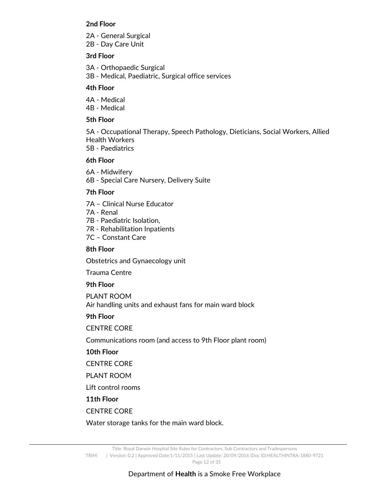#### **2nd Floor**

2A - General Surgical 2B - Day Care Unit

#### **3rd Floor**

3A - Orthopaedic Surgical 3B - Medical, Paediatric, Surgical office services

#### **4th Floor**

4A - Medical 4B - Medical

#### **5th Floor**

5A - Occupational Therapy, Speech Pathology, Dieticians, Social Workers, Allied Health Workers

5B - Paediatrics

#### **6th Floor**

- 6A Midwifery
- 6B Special Care Nursery, Delivery Suite

#### **7th Floor**

- 7A Clinical Nurse Educator
- 7A Renal
- 7B Paediatric Isolation,
- 7R Rehabilitation Inpatients
- 7C Constant Care

#### **8th Floor**

Obstetrics and Gynaecology unit

Trauma Centre

#### **9th Floor**

PLANT ROOM Air handling units and exhaust fans for main ward block

#### **9th Floor**

#### CENTRE CORE

Communications room (and access to 9th Floor plant room)

#### **10th Floor**

CENTRE CORE

PLANT ROOM

Lift control rooms

#### **11th Floor**

#### CENTRE CORE

Water storage tanks for the main ward block.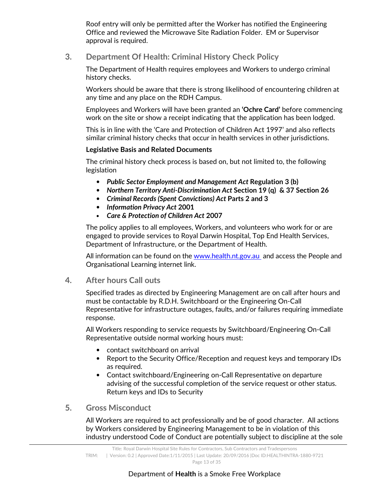Roof entry will only be permitted after the Worker has notified the Engineering Office and reviewed the Microwave Site Radiation Folder. EM or Supervisor approval is required.

## **3. Department Of Health: Criminal History Check Policy**

The Department of Health requires employees and Workers to undergo criminal history checks.

Workers should be aware that there is strong likelihood of encountering children at any time and any place on the RDH Campus.

Employees and Workers will have been granted an **'Ochre Card'** before commencing work on the site or show a receipt indicating that the application has been lodged.

This is in line with the 'Care and Protection of Children Act 1997' and also reflects similar criminal history checks that occur in health services in other jurisdictions.

## **Legislative Basis and Related Documents**

The criminal history check process is based on, but not limited to, the following legislation

- *Public Sector Employment and Management Act* **Regulation 3 (b)**
- *Northern Territory Anti-Discrimination Act* **Section 19 (q) & 37 Section 26**
- *Criminal Records (Spent Convictions) Act* **Parts 2 and 3**
- *Information Privacy Act* **2001**
- *Care & Protection of Children Act* **2007**

The policy applies to all employees, Workers, and volunteers who work for or are engaged to provide services to Royal Darwin Hospital, Top End Health Services, Department of Infrastructure, or the Department of Health.

All information can be found on the www.health.nt.gov.au and access the People and Organisational Learning internet link.

## **4. After hours Call outs**

Specified trades as directed by Engineering Management are on call after hours and must be contactable by R.D.H. Switchboard or the Engineering On-Call Representative for infrastructure outages, faults, and/or failures requiring immediate response.

All Workers responding to service requests by Switchboard/Engineering On-Call Representative outside normal working hours must:

- contact switchboard on arrival
- Report to the Security Office/Reception and request keys and temporary IDs as required.
- Contact switchboard/Engineering on-Call Representative on departure advising of the successful completion of the service request or other status. Return keys and IDs to Security

## **5. Gross Misconduct**

All Workers are required to act professionally and be of good character. All actions by Workers considered by Engineering Management to be in violation of this industry understood Code of Conduct are potentially subject to discipline at the sole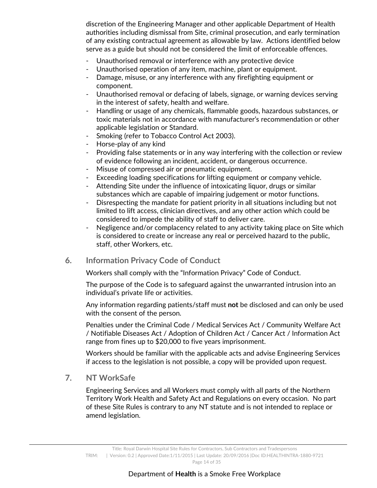discretion of the Engineering Manager and other applicable Department of Health authorities including dismissal from Site, criminal prosecution, and early termination of any existing contractual agreement as allowable by law. Actions identified below serve as a guide but should not be considered the limit of enforceable offences.

- Unauthorised removal or interference with any protective device
- Unauthorised operation of any item, machine, plant or equipment.
- Damage, misuse, or any interference with any firefighting equipment or component.
- Unauthorised removal or defacing of labels, signage, or warning devices serving in the interest of safety, health and welfare.
- Handling or usage of any chemicals, flammable goods, hazardous substances, or toxic materials not in accordance with manufacturer's recommendation or other applicable legislation or Standard.
- Smoking (refer to Tobacco Control Act 2003).
- Horse-play of any kind
- Providing false statements or in any way interfering with the collection or review of evidence following an incident, accident, or dangerous occurrence.
- Misuse of compressed air or pneumatic equipment.
- Exceeding loading specifications for lifting equipment or company vehicle.
- Attending Site under the influence of intoxicating liquor, drugs or similar substances which are capable of impairing judgement or motor functions.
- Disrespecting the mandate for patient priority in all situations including but not limited to lift access, clinician directives, and any other action which could be considered to impede the ability of staff to deliver care.
- Negligence and/or complacency related to any activity taking place on Site which is considered to create or increase any real or perceived hazard to the public, staff, other Workers, etc.
- **6. Information Privacy Code of Conduct**

Workers shall comply with the "Information Privacy" Code of Conduct.

The purpose of the Code is to safeguard against the unwarranted intrusion into an individual's private life or activities.

Any information regarding patients/staff must **not** be disclosed and can only be used with the consent of the person.

Penalties under the Criminal Code / Medical Services Act / Community Welfare Act / Notifiable Diseases Act / Adoption of Children Act / Cancer Act / Information Act range from fines up to \$20,000 to five years imprisonment.

Workers should be familiar with the applicable acts and advise Engineering Services if access to the legislation is not possible, a copy will be provided upon request.

**7. NT WorkSafe** 

Engineering Services and all Workers must comply with all parts of the Northern Territory Work Health and Safety Act and Regulations on every occasion. No part of these Site Rules is contrary to any NT statute and is not intended to replace or amend legislation.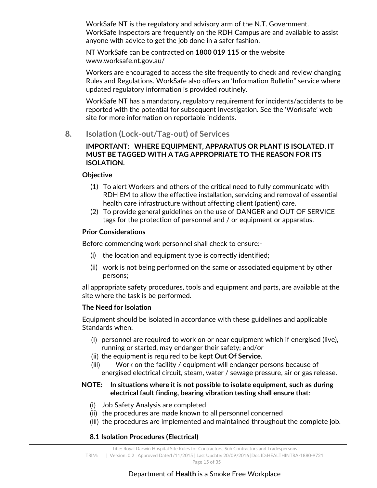WorkSafe NT is the regulatory and advisory arm of the N.T. Government. WorkSafe Inspectors are frequently on the RDH Campus are and available to assist anyone with advice to get the job done in a safer fashion.

NT WorkSafe can be contracted on **1800 019 115** or the website www.worksafe.nt.gov.au/

Workers are encouraged to access the site frequently to check and review changing Rules and Regulations. WorkSafe also offers an 'Information Bulletin" service where updated regulatory information is provided routinely.

WorkSafe NT has a mandatory, regulatory requirement for incidents/accidents to be reported with the potential for subsequent investigation. See the 'Worksafe' web site for more information on reportable incidents.

**8. Isolation (Lock-out/Tag-out) of Services** 

#### **IMPORTANT: WHERE EQUIPMENT, APPARATUS OR PLANT IS ISOLATED, IT MUST BE TAGGED WITH A TAG APPROPRIATE TO THE REASON FOR ITS ISOLATION.**

#### **Objective**

- (1) To alert Workers and others of the critical need to fully communicate with RDH EM to allow the effective installation, servicing and removal of essential health care infrastructure without affecting client (patient) care.
- (2) To provide general guidelines on the use of DANGER and OUT OF SERVICE tags for the protection of personnel and / or equipment or apparatus.

#### **Prior Considerations**

Before commencing work personnel shall check to ensure:-

- (i) the location and equipment type is correctly identified;
- (ii) work is not being performed on the same or associated equipment by other persons;

all appropriate safety procedures, tools and equipment and parts, are available at the site where the task is be performed.

#### **The Need for Isolation**

Equipment should be isolated in accordance with these guidelines and applicable Standards when:

- (i) personnel are required to work on or near equipment which if energised (live), running or started, may endanger their safety; and/or
- (ii) the equipment is required to be kept **Out Of Service**.
- (iii) Work on the facility / equipment will endanger persons because of energised electrical circuit, steam, water / sewage pressure, air or gas release.

## **NOTE: In situations where it is not possible to isolate equipment, such as during electrical fault finding, bearing vibration testing shall ensure that**:

- (i) Job Safety Analysis are completed
- (ii) the procedures are made known to all personnel concerned
- (iii) the procedures are implemented and maintained throughout the complete job.

## **8.1 Isolation Procedures (Electrical)**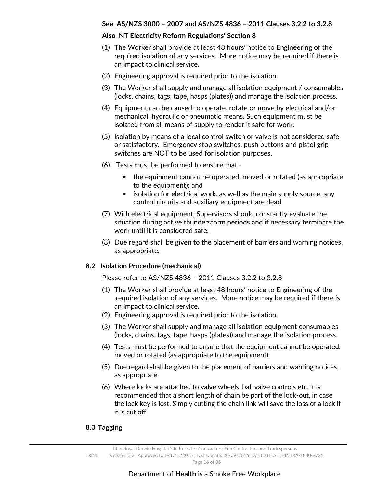#### **See AS/NZS 3000 – 2007 and AS/NZS 4836 – 2011 Clauses 3.2.2 to 3.2.8**

#### **Also 'NT Electricity Reform Regulations' Section 8**

- (1) The Worker shall provide at least 48 hours' notice to Engineering of the required isolation of any services. More notice may be required if there is an impact to clinical service.
- (2) Engineering approval is required prior to the isolation.
- (3) The Worker shall supply and manage all isolation equipment / consumables (locks, chains, tags, tape, hasps (plates)) and manage the isolation process.
- (4) Equipment can be caused to operate, rotate or move by electrical and/or mechanical, hydraulic or pneumatic means. Such equipment must be isolated from all means of supply to render it safe for work.
- (5) Isolation by means of a local control switch or valve is not considered safe or satisfactory. Emergency stop switches, push buttons and pistol grip switches are NOT to be used for isolation purposes.
- (6) Tests must be performed to ensure that
	- the equipment cannot be operated, moved or rotated (as appropriate to the equipment); and
	- isolation for electrical work, as well as the main supply source, any control circuits and auxiliary equipment are dead.
- (7) With electrical equipment, Supervisors should constantly evaluate the situation during active thunderstorm periods and if necessary terminate the work until it is considered safe.
- (8) Due regard shall be given to the placement of barriers and warning notices, as appropriate.

#### **8.2 Isolation Procedure (mechanical)**

Please refer to AS/NZS 4836 – 2011 Clauses 3.2.2 to 3.2.8

- (1) The Worker shall provide at least 48 hours' notice to Engineering of the required isolation of any services. More notice may be required if there is an impact to clinical service.
- (2) Engineering approval is required prior to the isolation.
- (3) The Worker shall supply and manage all isolation equipment consumables (locks, chains, tags, tape, hasps (plates)) and manage the isolation process.
- (4) Tests must be performed to ensure that the equipment cannot be operated, moved or rotated (as appropriate to the equipment).
- (5) Due regard shall be given to the placement of barriers and warning notices, as appropriate.
- (6) Where locks are attached to valve wheels, ball valve controls etc. it is recommended that a short length of chain be part of the lock-out, in case the lock key is lost. Simply cutting the chain link will save the loss of a lock if it is cut off.

#### **8.3 Tagging**

Title: Royal Darwin Hospital Site Rules for Contractors, Sub Contractors and Tradespersons TRIM: | Version: 0.2 | Approved Date:1/11/2015 | Last Update: 20/09/2016 |Doc ID:HEALTHINTRA-1880-9721 Page 16 of 35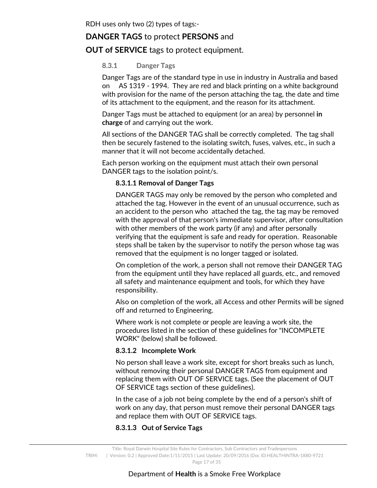## **DANGER TAGS** to protect **PERSONS** and

## **OUT of SERVICE** tags to protect equipment.

#### **8.3.1 Danger Tags**

Danger Tags are of the standard type in use in industry in Australia and based on AS 1319 - 1994. They are red and black printing on a white background with provision for the name of the person attaching the tag, the date and time of its attachment to the equipment, and the reason for its attachment.

Danger Tags must be attached to equipment (or an area) by personnel **in charge** of and carrying out the work.

All sections of the DANGER TAG shall be correctly completed. The tag shall then be securely fastened to the isolating switch, fuses, valves, etc., in such a manner that it will not become accidentally detached.

Each person working on the equipment must attach their own personal DANGER tags to the isolation point/s.

#### **8.3.1.1 Removal of Danger Tags**

DANGER TAGS may only be removed by the person who completed and attached the tag. However in the event of an unusual occurrence, such as an accident to the person who attached the tag, the tag may be removed with the approval of that person's immediate supervisor, after consultation with other members of the work party (if any) and after personally verifying that the equipment is safe and ready for operation. Reasonable steps shall be taken by the supervisor to notify the person whose tag was removed that the equipment is no longer tagged or isolated.

On completion of the work, a person shall not remove their DANGER TAG from the equipment until they have replaced all guards, etc., and removed all safety and maintenance equipment and tools, for which they have responsibility.

Also on completion of the work, all Access and other Permits will be signed off and returned to Engineering.

Where work is not complete or people are leaving a work site, the procedures listed in the section of these guidelines for "INCOMPLETE WORK" (below) shall be followed.

#### **8.3.1.2 Incomplete Work**

No person shall leave a work site, except for short breaks such as lunch, without removing their personal DANGER TAGS from equipment and replacing them with OUT OF SERVICE tags. (See the placement of OUT OF SERVICE tags section of these guidelines).

In the case of a job not being complete by the end of a person's shift of work on any day, that person must remove their personal DANGER tags and replace them with OUT OF SERVICE tags.

#### **8.3.1.3 Out of Service Tags**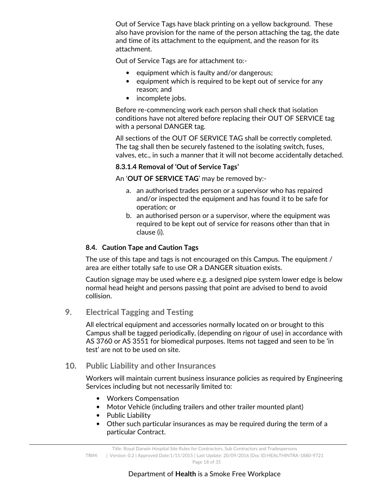Out of Service Tags have black printing on a yellow background. These also have provision for the name of the person attaching the tag, the date and time of its attachment to the equipment, and the reason for its attachment.

Out of Service Tags are for attachment to:-

- equipment which is faulty and/or dangerous;
- equipment which is required to be kept out of service for any reason; and
- incomplete jobs.

Before re-commencing work each person shall check that isolation conditions have not altered before replacing their OUT OF SERVICE tag with a personal DANGER tag.

All sections of the OUT OF SERVICE TAG shall be correctly completed. The tag shall then be securely fastened to the isolating switch, fuses, valves, etc., in such a manner that it will not become accidentally detached.

#### **8.3.1.4 Removal of 'Out of Service Tags'**

An '**OUT OF SERVICE TAG**' may be removed by:-

- a. an authorised trades person or a supervisor who has repaired and/or inspected the equipment and has found it to be safe for operation; or
- b. an authorised person or a supervisor, where the equipment was required to be kept out of service for reasons other than that in clause (i).

#### **8.4. Caution Tape and Caution Tags**

The use of this tape and tags is not encouraged on this Campus. The equipment / area are either totally safe to use OR a DANGER situation exists.

Caution signage may be used where e.g. a designed pipe system lower edge is below normal head height and persons passing that point are advised to bend to avoid collision.

**9. Electrical Tagging and Testing** 

All electrical equipment and accessories normally located on or brought to this Campus shall be tagged periodically, (depending on rigour of use) in accordance with AS 3760 or AS 3551 for biomedical purposes. Items not tagged and seen to be 'in test' are not to be used on site.

#### **10. Public Liability and other Insurances**

Workers will maintain current business insurance policies as required by Engineering Services including but not necessarily limited to:

- Workers Compensation
- Motor Vehicle (including trailers and other trailer mounted plant)
- Public Liability
- Other such particular insurances as may be required during the term of a particular Contract.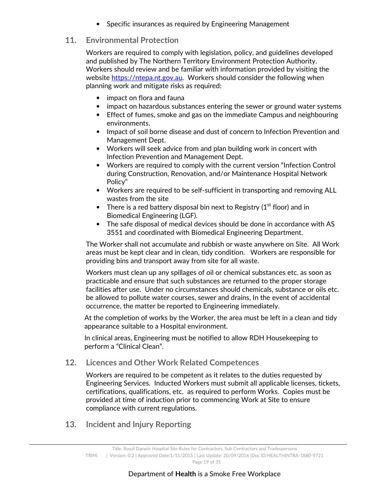• Specific insurances as required by Engineering Management

## **11. Environmental Protection**

Workers are required to comply with legislation, policy, and guidelines developed and published by The Northern Territory Environment Protection Authority. Workers should review and be familiar with information provided by visiting the website https://ntepa.nt.gov.au. Workers should consider the following when planning work and mitigate risks as required:

- impact on flora and fauna
- impact on hazardous substances entering the sewer or ground water systems
- Effect of fumes, smoke and gas on the immediate Campus and neighbouring environments.
- Impact of soil borne disease and dust of concern to Infection Prevention and Management Dept.
- Workers will seek advice from and plan building work in concert with Infection Prevention and Management Dept.
- Workers are required to comply with the current version "Infection Control during Construction, Renovation, and/or Maintenance Hospital Network Policy"
- Workers are required to be self-sufficient in transporting and removing ALL wastes from the site
- There is a red battery disposal bin next to Registry  $(1<sup>st</sup>$  floor) and in Biomedical Engineering (LGF).
- The safe disposal of medical devices should be done in accordance with AS 3551 and coordinated with Biomedical Engineering Department.

The Worker shall not accumulate and rubbish or waste anywhere on Site. All Work areas must be kept clear and in clean, tidy condition. Workers are responsible for providing bins and transport away from site for all waste.

Workers must clean up any spillages of oil or chemical substances etc. as soon as practicable and ensure that such substances are returned to the proper storage facilities after use. Under no circumstances should chemicals, substance or oils etc. be allowed to pollute water courses, sewer and drains, In the event of accidental occurrence, the matter be reported to Engineering immediately.

At the completion of works by the Worker, the area must be left in a clean and tidy appearance suitable to a Hospital environment.

In clinical areas, Engineering must be notified to allow RDH Housekeeping to perform a "Clinical Clean".

## **12. Licences and Other Work Related Competences**

Workers are required to be competent as it relates to the duties requested by Engineering Services. Inducted Workers must submit all applicable licenses, tickets, certifications, qualifications, etc. as required to perform Works. Copies must be provided at time of induction prior to commencing Work at Site to ensure compliance with current regulations.

**13. Incident and Injury Reporting**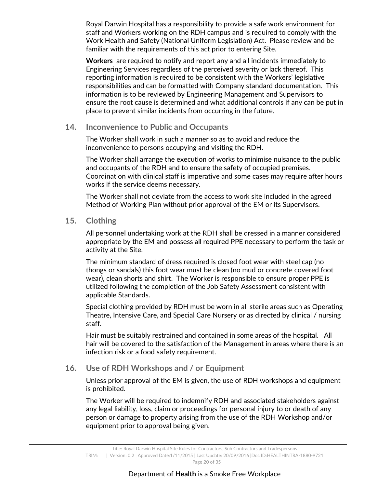Royal Darwin Hospital has a responsibility to provide a safe work environment for staff and Workers working on the RDH campus and is required to comply with the Work Health and Safety (National Uniform Legislation) Act. Please review and be familiar with the requirements of this act prior to entering Site.

**Workers** are required to notify and report any and all incidents immediately to Engineering Services regardless of the perceived severity or lack thereof. This reporting information is required to be consistent with the Workers' legislative responsibilities and can be formatted with Company standard documentation. This information is to be reviewed by Engineering Management and Supervisors to ensure the root cause is determined and what additional controls if any can be put in place to prevent similar incidents from occurring in the future.

#### **14. Inconvenience to Public and Occupants**

The Worker shall work in such a manner so as to avoid and reduce the inconvenience to persons occupying and visiting the RDH.

The Worker shall arrange the execution of works to minimise nuisance to the public and occupants of the RDH and to ensure the safety of occupied premises. Coordination with clinical staff is imperative and some cases may require after hours works if the service deems necessary.

The Worker shall not deviate from the access to work site included in the agreed Method of Working Plan without prior approval of the EM or its Supervisors.

## **15. Clothing**

All personnel undertaking work at the RDH shall be dressed in a manner considered appropriate by the EM and possess all required PPE necessary to perform the task or activity at the Site.

The minimum standard of dress required is closed foot wear with steel cap (no thongs or sandals) this foot wear must be clean (no mud or concrete covered foot wear), clean shorts and shirt. The Worker is responsible to ensure proper PPE is utilized following the completion of the Job Safety Assessment consistent with applicable Standards.

Special clothing provided by RDH must be worn in all sterile areas such as Operating Theatre, Intensive Care, and Special Care Nursery or as directed by clinical / nursing staff.

Hair must be suitably restrained and contained in some areas of the hospital. All hair will be covered to the satisfaction of the Management in areas where there is an infection risk or a food safety requirement.

## **16. Use of RDH Workshops and / or Equipment**

Unless prior approval of the EM is given, the use of RDH workshops and equipment is prohibited.

The Worker will be required to indemnify RDH and associated stakeholders against any legal liability, loss, claim or proceedings for personal injury to or death of any person or damage to property arising from the use of the RDH Workshop and/or equipment prior to approval being given.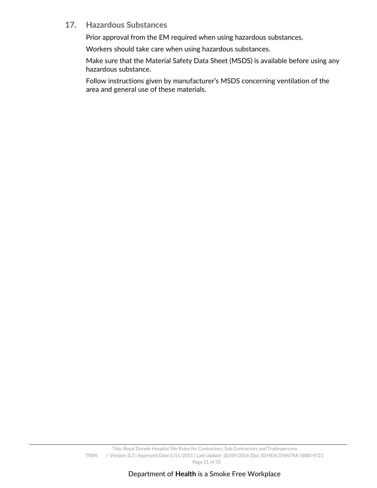## **17. Hazardous Substances**

Prior approval from the EM required when using hazardous substances.

Workers should take care when using hazardous substances.

Make sure that the Material Safety Data Sheet (MSDS) is available before using any hazardous substance.

Follow instructions given by manufacturer's MSDS concerning ventilation of the area and general use of these materials.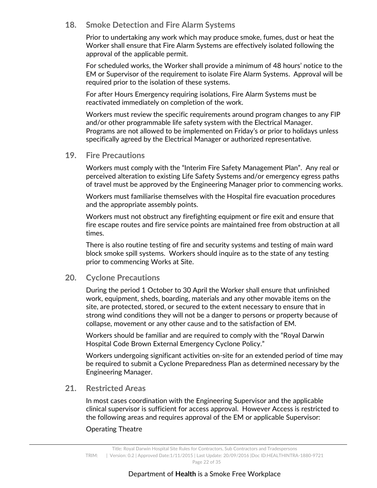## **18. Smoke Detection and Fire Alarm Systems**

Prior to undertaking any work which may produce smoke, fumes, dust or heat the Worker shall ensure that Fire Alarm Systems are effectively isolated following the approval of the applicable permit.

For scheduled works, the Worker shall provide a minimum of 48 hours' notice to the EM or Supervisor of the requirement to isolate Fire Alarm Systems. Approval will be required prior to the isolation of these systems.

For after Hours Emergency requiring isolations, Fire Alarm Systems must be reactivated immediately on completion of the work.

Workers must review the specific requirements around program changes to any FIP and/or other programmable life safety system with the Electrical Manager. Programs are not allowed to be implemented on Friday's or prior to holidays unless specifically agreed by the Electrical Manager or authorized representative.

## **19. Fire Precautions**

Workers must comply with the "Interim Fire Safety Management Plan". Any real or perceived alteration to existing Life Safety Systems and/or emergency egress paths of travel must be approved by the Engineering Manager prior to commencing works.

Workers must familiarise themselves with the Hospital fire evacuation procedures and the appropriate assembly points.

Workers must not obstruct any firefighting equipment or fire exit and ensure that fire escape routes and fire service points are maintained free from obstruction at all times.

There is also routine testing of fire and security systems and testing of main ward block smoke spill systems. Workers should inquire as to the state of any testing prior to commencing Works at Site.

## **20. Cyclone Precautions**

During the period 1 October to 30 April the Worker shall ensure that unfinished work, equipment, sheds, boarding, materials and any other movable items on the site, are protected, stored, or secured to the extent necessary to ensure that in strong wind conditions they will not be a danger to persons or property because of collapse, movement or any other cause and to the satisfaction of EM.

Workers should be familiar and are required to comply with the "Royal Darwin Hospital Code Brown External Emergency Cyclone Policy."

Workers undergoing significant activities on-site for an extended period of time may be required to submit a Cyclone Preparedness Plan as determined necessary by the Engineering Manager.

## **21. Restricted Areas**

In most cases coordination with the Engineering Supervisor and the applicable clinical supervisor is sufficient for access approval. However Access is restricted to the following areas and requires approval of the EM or applicable Supervisor:

#### Operating Theatre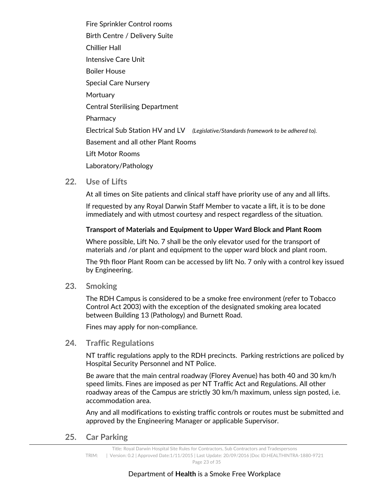Fire Sprinkler Control rooms Birth Centre / Delivery Suite Chillier Hall Intensive Care Unit Boiler House Special Care Nursery **Mortuary** Central Sterilising Department Pharmacy Electrical Sub Station HV and LV *(Legislative/Standards framework to be adhered to).* Basement and all other Plant Rooms Lift Motor Rooms Laboratory/Pathology

**22. Use of Lifts** 

At all times on Site patients and clinical staff have priority use of any and all lifts.

If requested by any Royal Darwin Staff Member to vacate a lift, it is to be done immediately and with utmost courtesy and respect regardless of the situation.

#### **Transport of Materials and Equipment to Upper Ward Block and Plant Room**

Where possible, Lift No. 7 shall be the only elevator used for the transport of materials and /or plant and equipment to the upper ward block and plant room.

The 9th floor Plant Room can be accessed by lift No. 7 only with a control key issued by Engineering.

**23. Smoking** 

The RDH Campus is considered to be a smoke free environment (refer to Tobacco Control Act 2003) with the exception of the designated smoking area located between Building 13 (Pathology) and Burnett Road.

Fines may apply for non-compliance.

#### **24. Traffic Regulations**

NT traffic regulations apply to the RDH precincts. Parking restrictions are policed by Hospital Security Personnel and NT Police.

Be aware that the main central roadway (Florey Avenue) has both 40 and 30 km/h speed limits. Fines are imposed as per NT Traffic Act and Regulations. All other roadway areas of the Campus are strictly 30 km/h maximum, unless sign posted, i.e. accommodation area.

Any and all modifications to existing traffic controls or routes must be submitted and approved by the Engineering Manager or applicable Supervisor.

**25. Car Parking** 

Title: Royal Darwin Hospital Site Rules for Contractors, Sub Contractors and Tradespersons TRIM: | Version: 0.2 | Approved Date:1/11/2015 | Last Update: 20/09/2016 |Doc ID:HEALTHINTRA-1880-9721 Page 23 of 35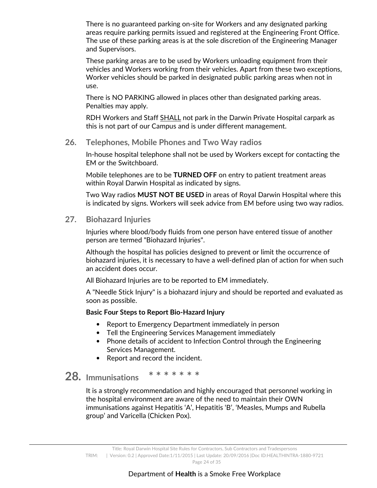There is no guaranteed parking on-site for Workers and any designated parking areas require parking permits issued and registered at the Engineering Front Office. The use of these parking areas is at the sole discretion of the Engineering Manager and Supervisors.

These parking areas are to be used by Workers unloading equipment from their vehicles and Workers working from their vehicles. Apart from these two exceptions, Worker vehicles should be parked in designated public parking areas when not in use.

There is NO PARKING allowed in places other than designated parking areas. Penalties may apply.

RDH Workers and Staff SHALL not park in the Darwin Private Hospital carpark as this is not part of our Campus and is under different management.

#### **26. Telephones, Mobile Phones and Two Way radios**

In-house hospital telephone shall not be used by Workers except for contacting the EM or the Switchboard.

Mobile telephones are to be **TURNED OFF** on entry to patient treatment areas within Royal Darwin Hospital as indicated by signs.

Two Way radios **MUST NOT BE USED** in areas of Royal Darwin Hospital where this is indicated by signs. Workers will seek advice from EM before using two way radios.

#### **27. Biohazard Injuries**

Injuries where blood/body fluids from one person have entered tissue of another person are termed "Biohazard Injuries".

Although the hospital has policies designed to prevent or limit the occurrence of biohazard injuries, it is necessary to have a well-defined plan of action for when such an accident does occur.

All Biohazard Injuries are to be reported to EM immediately.

A "Needle Stick Injury" is a biohazard injury and should be reported and evaluated as soon as possible.

#### **Basic Four Steps to Report Bio-Hazard Injury**

- Report to Emergency Department immediately in person
- Tell the Engineering Services Management immediately
- Phone details of accident to Infection Control through the Engineering Services Management.
- Report and record the incident.

## **28. Immunisations \* \* \* \* \* \* \***

It is a strongly recommendation and highly encouraged that personnel working in the hospital environment are aware of the need to maintain their OWN immunisations against Hepatitis 'A', Hepatitis 'B', 'Measles, Mumps and Rubella group' and Varicella (Chicken Pox).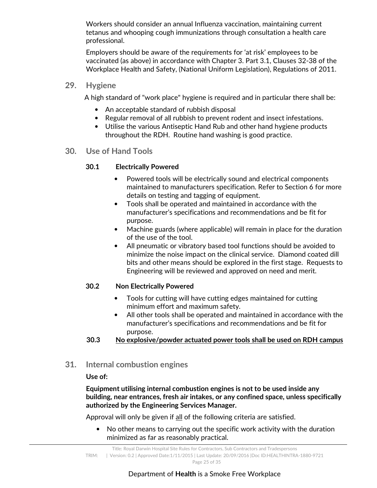Workers should consider an annual Influenza vaccination, maintaining current tetanus and whooping cough immunizations through consultation a health care professional.

Employers should be aware of the requirements for 'at risk' employees to be vaccinated (as above) in accordance with Chapter 3. Part 3.1, Clauses 32-38 of the Workplace Health and Safety, (National Uniform Legislation), Regulations of 2011.

#### **29. Hygiene**

A high standard of "work place" hygiene is required and in particular there shall be:

- An acceptable standard of rubbish disposal
- Regular removal of all rubbish to prevent rodent and insect infestations.
- Utilise the various Antiseptic Hand Rub and other hand hygiene products throughout the RDH. Routine hand washing is good practice.
- **30. Use of Hand Tools**

## **30.1 Electrically Powered**

- Powered tools will be electrically sound and electrical components maintained to manufacturers specification. Refer to Section 6 for more details on testing and tagging of equipment.
- Tools shall be operated and maintained in accordance with the manufacturer's specifications and recommendations and be fit for purpose.
- Machine guards (where applicable) will remain in place for the duration of the use of the tool.
- All pneumatic or vibratory based tool functions should be avoided to minimize the noise impact on the clinical service. Diamond coated dill bits and other means should be explored in the first stage. Requests to Engineering will be reviewed and approved on need and merit.

#### **30.2 Non Electrically Powered**

- Tools for cutting will have cutting edges maintained for cutting minimum effort and maximum safety.
- All other tools shall be operated and maintained in accordance with the manufacturer's specifications and recommendations and be fit for purpose.
- **30.3 No explosive/powder actuated power tools shall be used on RDH campus**
- **31. Internal combustion engines**

#### **Use of:**

**Equipment utilising internal combustion engines is not to be used inside any building, near entrances, fresh air intakes, or any confined space, unless specifically authorized by the Engineering Services Manager.** 

Approval will only be given if all of the following criteria are satisfied.

• No other means to carrying out the specific work activity with the duration minimized as far as reasonably practical.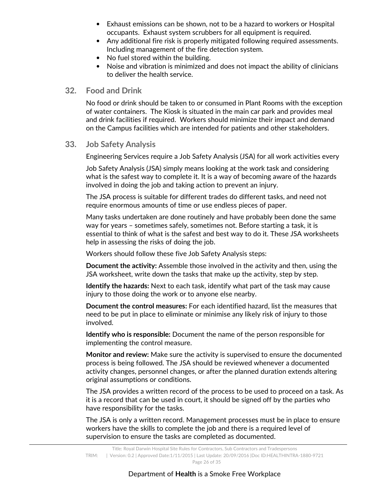- Exhaust emissions can be shown, not to be a hazard to workers or Hospital occupants. Exhaust system scrubbers for all equipment is required.
- Any additional fire risk is properly mitigated following required assessments. Including management of the fire detection system.
- No fuel stored within the building.
- Noise and vibration is minimized and does not impact the ability of clinicians to deliver the health service.

#### **32. Food and Drink**

No food or drink should be taken to or consumed in Plant Rooms with the exception of water containers. The Kiosk is situated in the main car park and provides meal and drink facilities if required. Workers should minimize their impact and demand on the Campus facilities which are intended for patients and other stakeholders.

#### **33. Job Safety Analysis**

Engineering Services require a Job Safety Analysis (JSA) for all work activities every

Job Safety Analysis (JSA) simply means looking at the work task and considering what is the safest way to complete it. It is a way of becoming aware of the hazards involved in doing the job and taking action to prevent an injury.

The JSA process is suitable for different trades do different tasks, and need not require enormous amounts of time or use endless pieces of paper.

Many tasks undertaken are done routinely and have probably been done the same way for years – sometimes safely, sometimes not. Before starting a task, it is essential to think of what is the safest and best way to do it. These JSA worksheets help in assessing the risks of doing the job.

Workers should follow these five Job Safety Analysis steps:

**Document the activity:** Assemble those involved in the activity and then, using the JSA worksheet, write down the tasks that make up the activity, step by step.

**Identify the hazards:** Next to each task, identify what part of the task may cause injury to those doing the work or to anyone else nearby.

**Document the control measures:** For each identified hazard, list the measures that need to be put in place to eliminate or minimise any likely risk of injury to those involved.

**Identify who is responsible:** Document the name of the person responsible for implementing the control measure.

**Monitor and review:** Make sure the activity is supervised to ensure the documented process is being followed. The JSA should be reviewed whenever a documented activity changes, personnel changes, or after the planned duration extends altering original assumptions or conditions.

The JSA provides a written record of the process to be used to proceed on a task. As it is a record that can be used in court, it should be signed off by the parties who have responsibility for the tasks.

The JSA is only a written record. Management processes must be in place to ensure workers have the skills to complete the job and there is a required level of supervision to ensure the tasks are completed as documented.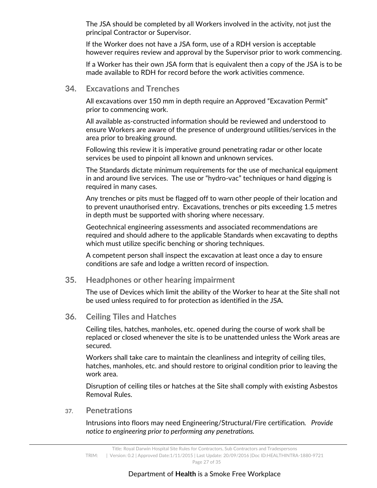The JSA should be completed by all Workers involved in the activity, not just the principal Contractor or Supervisor.

If the Worker does not have a JSA form, use of a RDH version is acceptable however requires review and approval by the Supervisor prior to work commencing.

If a Worker has their own JSA form that is equivalent then a copy of the JSA is to be made available to RDH for record before the work activities commence.

#### **34. Excavations and Trenches**

All excavations over 150 mm in depth require an Approved "Excavation Permit" prior to commencing work.

All available as-constructed information should be reviewed and understood to ensure Workers are aware of the presence of underground utilities/services in the area prior to breaking ground.

Following this review it is imperative ground penetrating radar or other locate services be used to pinpoint all known and unknown services.

The Standards dictate minimum requirements for the use of mechanical equipment in and around live services. The use or "hydro-vac" techniques or hand digging is required in many cases.

Any trenches or pits must be flagged off to warn other people of their location and to prevent unauthorised entry. Excavations, trenches or pits exceeding 1.5 metres in depth must be supported with shoring where necessary.

Geotechnical engineering assessments and associated recommendations are required and should adhere to the applicable Standards when excavating to depths which must utilize specific benching or shoring techniques.

A competent person shall inspect the excavation at least once a day to ensure conditions are safe and lodge a written record of inspection.

#### **35. Headphones or other hearing impairment**

The use of Devices which limit the ability of the Worker to hear at the Site shall not be used unless required to for protection as identified in the JSA.

#### **36. Ceiling Tiles and Hatches**

Ceiling tiles, hatches, manholes, etc. opened during the course of work shall be replaced or closed whenever the site is to be unattended unless the Work areas are secured.

Workers shall take care to maintain the cleanliness and integrity of ceiling tiles, hatches, manholes, etc. and should restore to original condition prior to leaving the work area.

Disruption of ceiling tiles or hatches at the Site shall comply with existing Asbestos Removal Rules.

#### **37. Penetrations**

Intrusions into floors may need Engineering/Structural/Fire certification*. Provide notice to engineering prior to performing any penetrations.*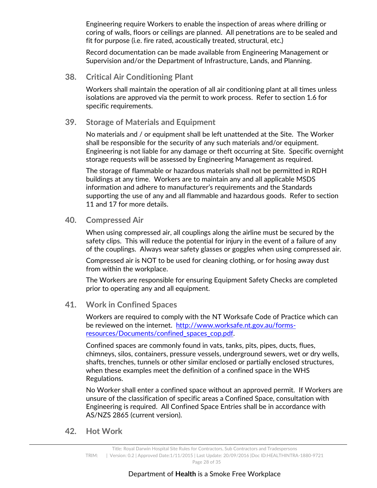Engineering require Workers to enable the inspection of areas where drilling or coring of walls, floors or ceilings are planned. All penetrations are to be sealed and fit for purpose (i.e. fire rated, acoustically treated, structural, etc.)

Record documentation can be made available from Engineering Management or Supervision and/or the Department of Infrastructure, Lands, and Planning.

#### **38. Critical Air Conditioning Plant**

Workers shall maintain the operation of all air conditioning plant at all times unless isolations are approved via the permit to work process. Refer to section 1.6 for specific requirements.

#### **39. Storage of Materials and Equipment**

No materials and / or equipment shall be left unattended at the Site. The Worker shall be responsible for the security of any such materials and/or equipment. Engineering is not liable for any damage or theft occurring at Site. Specific overnight storage requests will be assessed by Engineering Management as required.

The storage of flammable or hazardous materials shall not be permitted in RDH buildings at any time. Workers are to maintain any and all applicable MSDS information and adhere to manufacturer's requirements and the Standards supporting the use of any and all flammable and hazardous goods. Refer to section 11 and 17 for more details.

#### **40. Compressed Air**

When using compressed air, all couplings along the airline must be secured by the safety clips. This will reduce the potential for injury in the event of a failure of any of the couplings. Always wear safety glasses or goggles when using compressed air.

Compressed air is NOT to be used for cleaning clothing, or for hosing away dust from within the workplace.

The Workers are responsible for ensuring Equipment Safety Checks are completed prior to operating any and all equipment.

#### **41. Work in Confined Spaces**

Workers are required to comply with the NT Worksafe Code of Practice which can be reviewed on the internet. http://www.worksafe.nt.gov.au/formsresources/Documents/confined\_spaces\_cop.pdf.

Confined spaces are commonly found in vats, tanks, pits, pipes, ducts, flues, chimneys, silos, containers, pressure vessels, underground sewers, wet or dry wells, shafts, trenches, tunnels or other similar enclosed or partially enclosed structures, when these examples meet the definition of a confined space in the WHS Regulations.

No Worker shall enter a confined space without an approved permit. If Workers are unsure of the classification of specific areas a Confined Space, consultation with Engineering is required. All Confined Space Entries shall be in accordance with AS/NZS 2865 (current version).

**42. Hot Work** 

Title: Royal Darwin Hospital Site Rules for Contractors, Sub Contractors and Tradespersons TRIM: | Version: 0.2 | Approved Date:1/11/2015 | Last Update: 20/09/2016 |Doc ID:HEALTHINTRA-1880-9721 Page 28 of 35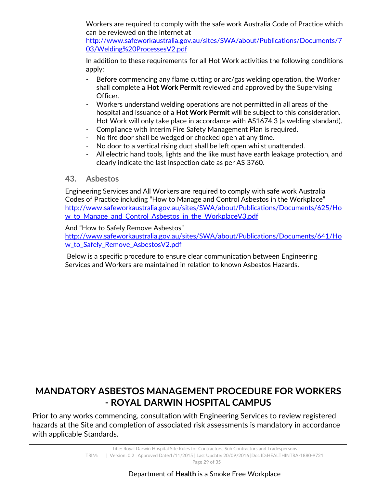Workers are required to comply with the safe work Australia Code of Practice which can be reviewed on the internet at

http://www.safeworkaustralia.gov.au/sites/SWA/about/Publications/Documents/7 03/Welding%20ProcessesV2.pdf

In addition to these requirements for all Hot Work activities the following conditions apply:

- Before commencing any flame cutting or arc/gas welding operation, the Worker shall complete a **Hot Work Permit** reviewed and approved by the Supervising Officer.
- Workers understand welding operations are not permitted in all areas of the hospital and issuance of a **Hot Work Permit** will be subject to this consideration. Hot Work will only take place in accordance with AS1674.3 (a welding standard).
- Compliance with Interim Fire Safety Management Plan is required.
- No fire door shall be wedged or chocked open at any time.
- No door to a vertical rising duct shall be left open whilst unattended.
- All electric hand tools, lights and the like must have earth leakage protection, and clearly indicate the last inspection date as per AS 3760.

## **43. Asbestos**

Engineering Services and All Workers are required to comply with safe work Australia Codes of Practice including "How to Manage and Control Asbestos in the Workplace" http://www.safeworkaustralia.gov.au/sites/SWA/about/Publications/Documents/625/Ho w\_to\_Manage\_and\_Control\_Asbestos\_in\_the\_WorkplaceV3.pdf

#### And "How to Safely Remove Asbestos"

http://www.safeworkaustralia.gov.au/sites/SWA/about/Publications/Documents/641/Ho w\_to\_Safely\_Remove\_AsbestosV2.pdf

 Below is a specific procedure to ensure clear communication between Engineering Services and Workers are maintained in relation to known Asbestos Hazards.

## **MANDATORY ASBESTOS MANAGEMENT PROCEDURE FOR WORKERS - ROYAL DARWIN HOSPITAL CAMPUS**

Prior to any works commencing, consultation with Engineering Services to review registered hazards at the Site and completion of associated risk assessments is mandatory in accordance with applicable Standards.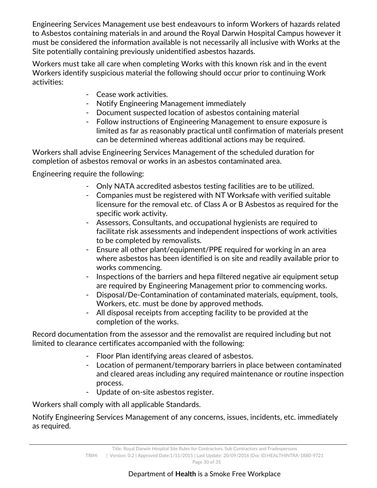Engineering Services Management use best endeavours to inform Workers of hazards related to Asbestos containing materials in and around the Royal Darwin Hospital Campus however it must be considered the information available is not necessarily all inclusive with Works at the Site potentially containing previously unidentified asbestos hazards.

Workers must take all care when completing Works with this known risk and in the event Workers identify suspicious material the following should occur prior to continuing Work activities:

- Cease work activities.
- Notify Engineering Management immediately
- Document suspected location of asbestos containing material
- Follow instructions of Engineering Management to ensure exposure is limited as far as reasonably practical until confirmation of materials present can be determined whereas additional actions may be required.

Workers shall advise Engineering Services Management of the scheduled duration for completion of asbestos removal or works in an asbestos contaminated area.

Engineering require the following:

- Only NATA accredited asbestos testing facilities are to be utilized.
- Companies must be registered with NT Worksafe with verified suitable licensure for the removal etc. of Class A or B Asbestos as required for the specific work activity.
- Assessors, Consultants, and occupational hygienists are required to facilitate risk assessments and independent inspections of work activities to be completed by removalists.
- Ensure all other plant/equipment/PPE required for working in an area where asbestos has been identified is on site and readily available prior to works commencing.
- Inspections of the barriers and hepa filtered negative air equipment setup are required by Engineering Management prior to commencing works.
- Disposal/De-Contamination of contaminated materials, equipment, tools, Workers, etc. must be done by approved methods.
- All disposal receipts from accepting facility to be provided at the completion of the works.

Record documentation from the assessor and the removalist are required including but not limited to clearance certificates accompanied with the following:

- Floor Plan identifying areas cleared of asbestos.
- Location of permanent/temporary barriers in place between contaminated and cleared areas including any required maintenance or routine inspection process.
- Update of on-site asbestos register.

Workers shall comply with all applicable Standards.

Notify Engineering Services Management of any concerns, issues, incidents, etc. immediately as required.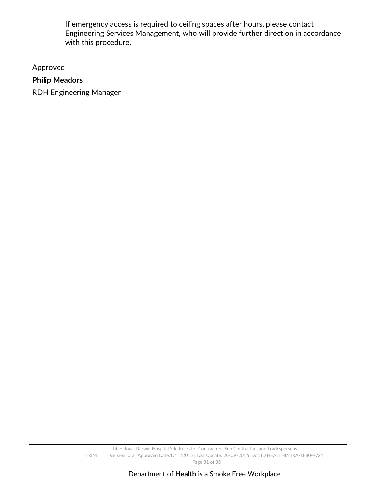If emergency access is required to ceiling spaces after hours, please contact Engineering Services Management, who will provide further direction in accordance with this procedure.

Approved

## **Philip Meadors**

RDH Engineering Manager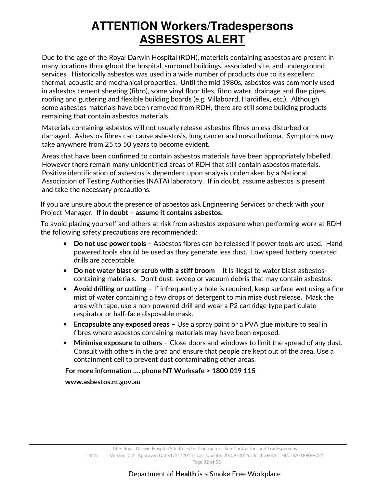# **ATTENTION Workers/Tradespersons ASBESTOS ALERT**

Due to the age of the Royal Darwin Hospital (RDH), materials containing asbestos are present in many locations throughout the hospital, surround buildings, associated site, and underground services. Historically asbestos was used in a wide number of products due to its excellent thermal, acoustic and mechanical properties. Until the mid 1980s, asbestos was commonly used in asbestos cement sheeting (fibro), some vinyl floor tiles, fibro water, drainage and flue pipes, roofing and guttering and flexible building boards (e.g. Villaboard, Hardiflex, etc.). Although some asbestos materials have been removed from RDH, there are still some building products remaining that contain asbestos materials.

Materials containing asbestos will not usually release asbestos fibres unless disturbed or damaged. Asbestos fibres can cause asbestosis, lung cancer and mesothelioma. Symptoms may take anywhere from 25 to 50 years to become evident.

Areas that have been confirmed to contain asbestos materials have been appropriately labelled. However there remain many unidentified areas of RDH that still contain asbestos materials. Positive identification of asbestos is dependent upon analysis undertaken by a National Association of Testing Authorities (NATA) laboratory. If in doubt, assume asbestos is present and take the necessary precautions.

If you are unsure about the presence of asbestos ask Engineering Services or check with your Project Manager. **If in doubt – assume it contains asbestos.**

To avoid placing yourself and others at risk from asbestos exposure when performing work at RDH the following safety precautions are recommended:

- **Do not use power tools** Asbestos fibres can be released if power tools are used. Hand powered tools should be used as they generate less dust. Low speed battery operated drills are acceptable.
- **Do not water blast or scrub with a stiff broom**  It is illegal to water blast asbestoscontaining materials. Don't dust, sweep or vacuum debris that may contain asbestos.
- **Avoid drilling or cutting** If infrequently a hole is required, keep surface wet using a fine mist of water containing a few drops of detergent to minimise dust release. Mask the area with tape, use a non-powered drill and wear a P2 cartridge type particulate respirator or half-face disposable mask.
- **Encapsulate any exposed areas** Use a spray paint or a PVA glue mixture to seal in fibres where asbestos containing materials may have been exposed.
- **Minimise exposure to others** Close doors and windows to limit the spread of any dust. Consult with others in the area and ensure that people are kept out of the area. Use a containment cell to prevent dust contaminating other areas.

## **For more information …. phone NT Worksafe > 1800 019 115**

**www.asbestos.nt.gov.au**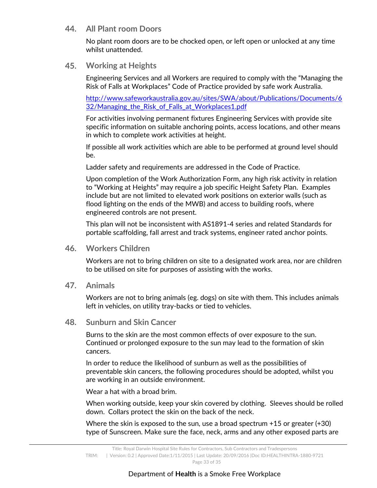#### **44. All Plant room Doors**

No plant room doors are to be chocked open, or left open or unlocked at any time whilst unattended.

#### **45. Working at Heights**

Engineering Services and all Workers are required to comply with the "Managing the Risk of Falls at Workplaces" Code of Practice provided by safe work Australia.

http://www.safeworkaustralia.gov.au/sites/SWA/about/Publications/Documents/6 32/Managing the Risk of Falls at Workplaces1.pdf

For activities involving permanent fixtures Engineering Services with provide site specific information on suitable anchoring points, access locations, and other means in which to complete work activities at height.

If possible all work activities which are able to be performed at ground level should be.

Ladder safety and requirements are addressed in the Code of Practice.

Upon completion of the Work Authorization Form, any high risk activity in relation to "Working at Heights" may require a job specific Height Safety Plan. Examples include but are not limited to elevated work positions on exterior walls (such as flood lighting on the ends of the MWB) and access to building roofs, where engineered controls are not present.

This plan will not be inconsistent with AS1891-4 series and related Standards for portable scaffolding, fall arrest and track systems, engineer rated anchor points.

#### **46. Workers Children**

Workers are not to bring children on site to a designated work area, nor are children to be utilised on site for purposes of assisting with the works.

**47. Animals** 

Workers are not to bring animals (eg. dogs) on site with them. This includes animals left in vehicles, on utility tray-backs or tied to vehicles.

#### **48. Sunburn and Skin Cancer**

Burns to the skin are the most common effects of over exposure to the sun. Continued or prolonged exposure to the sun may lead to the formation of skin cancers.

In order to reduce the likelihood of sunburn as well as the possibilities of preventable skin cancers, the following procedures should be adopted, whilst you are working in an outside environment.

Wear a hat with a broad brim.

When working outside, keep your skin covered by clothing. Sleeves should be rolled down. Collars protect the skin on the back of the neck.

Where the skin is exposed to the sun, use a broad spectrum +15 or greater (+30) type of Sunscreen. Make sure the face, neck, arms and any other exposed parts are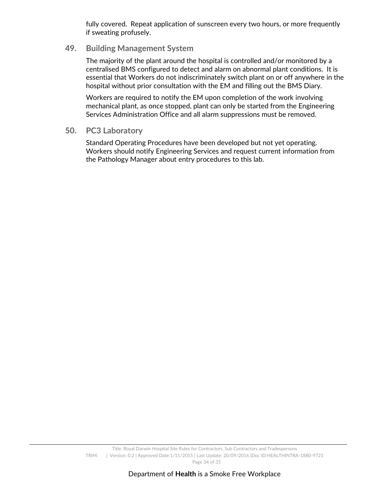fully covered. Repeat application of sunscreen every two hours, or more frequently if sweating profusely.

#### **49. Building Management System**

The majority of the plant around the hospital is controlled and/or monitored by a centralised BMS configured to detect and alarm on abnormal plant conditions. It is essential that Workers do not indiscriminately switch plant on or off anywhere in the hospital without prior consultation with the EM and filling out the BMS Diary.

Workers are required to notify the EM upon completion of the work involving mechanical plant, as once stopped, plant can only be started from the Engineering Services Administration Office and all alarm suppressions must be removed.

#### **50. PC3 Laboratory**

Standard Operating Procedures have been developed but not yet operating. Workers should notify Engineering Services and request current information from the Pathology Manager about entry procedures to this lab.